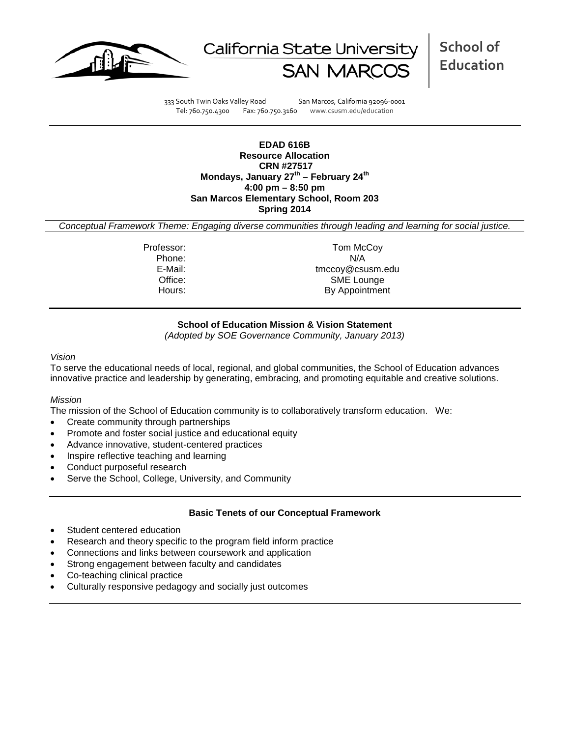



**School of Education**

333 South Twin Oaks Valley Road San Marcos, California 92096-0001 Tel: 760.750.4300 Fax: 760.750.3160 www.csusm.edu/education

**EDAD 616B Resource Allocation CRN #27517 Mondays, January 27th – February 24th 4:00 pm – 8:50 pm San Marcos Elementary School, Room 203 Spring 2014**

*Conceptual Framework Theme: Engaging diverse communities through leading and learning for social justice.*

Professor: Tom McCoy Phone: N/A<br>E-Mail: tmccov@csu tmccoy@csusm.edu Office: SME Lounge Hours: By Appointment

# **School of Education Mission & Vision Statement**

*(Adopted by SOE Governance Community, January 2013)*

#### *Vision*

To serve the educational needs of local, regional, and global communities, the School of Education advances innovative practice and leadership by generating, embracing, and promoting equitable and creative solutions.

## *Mission*

The mission of the School of Education community is to collaboratively transform education. We:

- Create community through partnerships
- Promote and foster social justice and educational equity
- Advance innovative, student-centered practices
- Inspire reflective teaching and learning
- Conduct purposeful research
- Serve the School, College, University, and Community

## **Basic Tenets of our Conceptual Framework**

- Student centered education
- Research and theory specific to the program field inform practice
- Connections and links between coursework and application
- Strong engagement between faculty and candidates
- Co-teaching clinical practice
- Culturally responsive pedagogy and socially just outcomes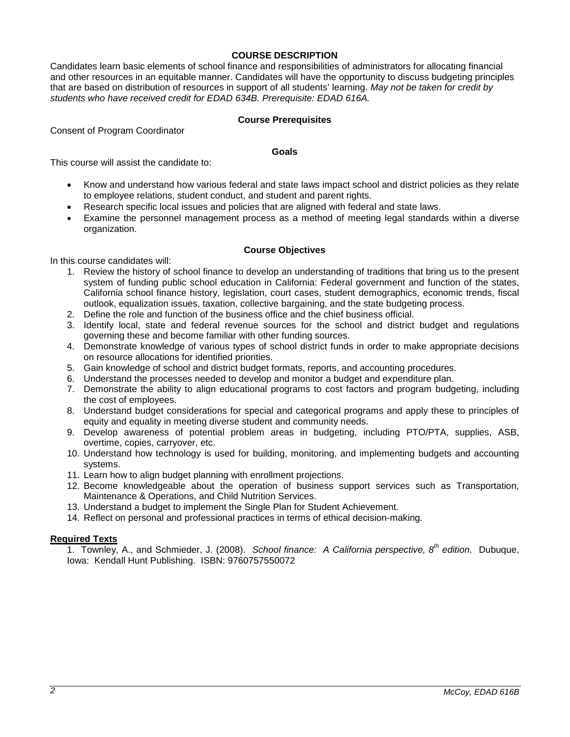# **COURSE DESCRIPTION**

Candidates learn basic elements of school finance and responsibilities of administrators for allocating financial and other resources in an equitable manner. Candidates will have the opportunity to discuss budgeting principles that are based on distribution of resources in support of all students' learning. *May not be taken for credit by students who have received credit for EDAD 634B. Prerequisite: EDAD 616A.* 

## **Course Prerequisites**

Consent of Program Coordinator

#### **Goals**

This course will assist the candidate to:

- Know and understand how various federal and state laws impact school and district policies as they relate to employee relations, student conduct, and student and parent rights.
- Research specific local issues and policies that are aligned with federal and state laws.
- Examine the personnel management process as a method of meeting legal standards within a diverse organization.

## **Course Objectives**

In this course candidates will:

- 1. Review the history of school finance to develop an understanding of traditions that bring us to the present system of funding public school education in California: Federal government and function of the states, California school finance history, legislation, court cases, student demographics, economic trends, fiscal outlook, equalization issues, taxation, collective bargaining, and the state budgeting process.
- 2. Define the role and function of the business office and the chief business official.
- 3. Identify local, state and federal revenue sources for the school and district budget and regulations governing these and become familiar with other funding sources.
- 4. Demonstrate knowledge of various types of school district funds in order to make appropriate decisions on resource allocations for identified priorities.
- 5. Gain knowledge of school and district budget formats, reports, and accounting procedures.
- 6. Understand the processes needed to develop and monitor a budget and expenditure plan.
- 7. Demonstrate the ability to align educational programs to cost factors and program budgeting, including the cost of employees.
- 8. Understand budget considerations for special and categorical programs and apply these to principles of equity and equality in meeting diverse student and community needs.
- 9. Develop awareness of potential problem areas in budgeting, including PTO/PTA, supplies, ASB, overtime, copies, carryover, etc.
- 10. Understand how technology is used for building, monitoring, and implementing budgets and accounting systems.
- 11. Learn how to align budget planning with enrollment projections.
- 12. Become knowledgeable about the operation of business support services such as Transportation, Maintenance & Operations, and Child Nutrition Services.
- 13. Understand a budget to implement the Single Plan for Student Achievement.
- 14. Reflect on personal and professional practices in terms of ethical decision-making.

## **Required Texts**

1. Townley, A., and Schmieder, J. (2008). *School finance: A California perspective, 8th edition*. Dubuque, Iowa: Kendall Hunt Publishing. ISBN: 9760757550072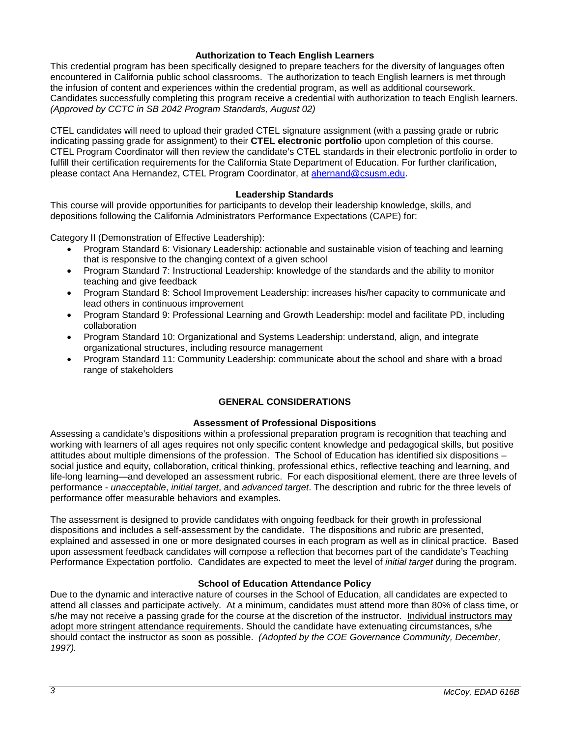# **Authorization to Teach English Learners**

This credential program has been specifically designed to prepare teachers for the diversity of languages often encountered in California public school classrooms. The authorization to teach English learners is met through the infusion of content and experiences within the credential program, as well as additional coursework. Candidates successfully completing this program receive a credential with authorization to teach English learners. *(Approved by CCTC in SB 2042 Program Standards, August 02)*

CTEL candidates will need to upload their graded CTEL signature assignment (with a passing grade or rubric indicating passing grade for assignment) to their **CTEL electronic portfolio** upon completion of this course. CTEL Program Coordinator will then review the candidate's CTEL standards in their electronic portfolio in order to fulfill their certification requirements for the California State Department of Education. For further clarification, please contact Ana Hernandez, CTEL Program Coordinator, at [ahernand@csusm.edu.](https://bl2prd0511.outlook.com/owa/redir.aspx?C=AW7hZ-DBL0G6FPgB8G8Eri3bAwuccNAIwYI81VgsrzvmHC5AEo6nGJNyvZWC7aqWfxtUgiTx_9k.&URL=mailto%3aahernand%40csusm.edu)

# **Leadership Standards**

This course will provide opportunities for participants to develop their leadership knowledge, skills, and depositions following the California Administrators Performance Expectations (CAPE) for:

Category II (Demonstration of Effective Leadership):

- Program Standard 6: Visionary Leadership: actionable and sustainable vision of teaching and learning that is responsive to the changing context of a given school
- Program Standard 7: Instructional Leadership: knowledge of the standards and the ability to monitor teaching and give feedback
- Program Standard 8: School Improvement Leadership: increases his/her capacity to communicate and lead others in continuous improvement
- Program Standard 9: Professional Learning and Growth Leadership: model and facilitate PD, including collaboration
- Program Standard 10: Organizational and Systems Leadership: understand, align, and integrate organizational structures, including resource management
- Program Standard 11: Community Leadership: communicate about the school and share with a broad range of stakeholders

# **GENERAL CONSIDERATIONS**

## **Assessment of Professional Dispositions**

Assessing a candidate's dispositions within a professional preparation program is recognition that teaching and working with learners of all ages requires not only specific content knowledge and pedagogical skills, but positive attitudes about multiple dimensions of the profession. The School of Education has identified six dispositions – social justice and equity, collaboration, critical thinking, professional ethics, reflective teaching and learning, and life-long learning—and developed an assessment rubric. For each dispositional element, there are three levels of performance - *unacceptable*, *initial target*, and *advanced target*. The description and rubric for the three levels of performance offer measurable behaviors and examples.

The assessment is designed to provide candidates with ongoing feedback for their growth in professional dispositions and includes a self-assessment by the candidate. The dispositions and rubric are presented, explained and assessed in one or more designated courses in each program as well as in clinical practice. Based upon assessment feedback candidates will compose a reflection that becomes part of the candidate's Teaching Performance Expectation portfolio. Candidates are expected to meet the level of *initial target* during the program.

## **School of Education Attendance Policy**

Due to the dynamic and interactive nature of courses in the School of Education, all candidates are expected to attend all classes and participate actively. At a minimum, candidates must attend more than 80% of class time, or s/he may not receive a passing grade for the course at the discretion of the instructor. Individual instructors may adopt more stringent attendance requirements. Should the candidate have extenuating circumstances, s/he should contact the instructor as soon as possible. *(Adopted by the COE Governance Community, December, 1997).*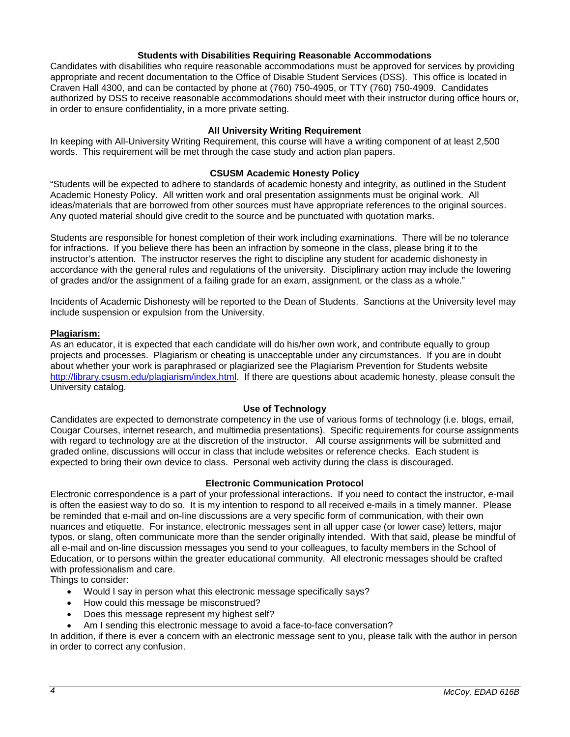## **Students with Disabilities Requiring Reasonable Accommodations**

Candidates with disabilities who require reasonable accommodations must be approved for services by providing appropriate and recent documentation to the Office of Disable Student Services (DSS). This office is located in Craven Hall 4300, and can be contacted by phone at (760) 750-4905, or TTY (760) 750-4909. Candidates authorized by DSS to receive reasonable accommodations should meet with their instructor during office hours or, in order to ensure confidentiality, in a more private setting.

### **All University Writing Requirement**

In keeping with All-University Writing Requirement, this course will have a writing component of at least 2,500 words. This requirement will be met through the case study and action plan papers.

#### **CSUSM Academic Honesty Policy**

"Students will be expected to adhere to standards of academic honesty and integrity, as outlined in the Student Academic Honesty Policy. All written work and oral presentation assignments must be original work. All ideas/materials that are borrowed from other sources must have appropriate references to the original sources. Any quoted material should give credit to the source and be punctuated with quotation marks.

Students are responsible for honest completion of their work including examinations. There will be no tolerance for infractions. If you believe there has been an infraction by someone in the class, please bring it to the instructor's attention. The instructor reserves the right to discipline any student for academic dishonesty in accordance with the general rules and regulations of the university. Disciplinary action may include the lowering of grades and/or the assignment of a failing grade for an exam, assignment, or the class as a whole."

Incidents of Academic Dishonesty will be reported to the Dean of Students. Sanctions at the University level may include suspension or expulsion from the University.

#### **Plagiarism:**

As an educator, it is expected that each candidate will do his/her own work, and contribute equally to group projects and processes. Plagiarism or cheating is unacceptable under any circumstances. If you are in doubt about whether your work is paraphrased or plagiarized see the Plagiarism Prevention for Students website [http://library.csusm.edu/plagiarism/index.html.](http://library.csusm.edu/plagiarism/index.html) If there are questions about academic honesty, please consult the University catalog.

#### **Use of Technology**

Candidates are expected to demonstrate competency in the use of various forms of technology (i.e. blogs, email, Cougar Courses, internet research, and multimedia presentations). Specific requirements for course assignments with regard to technology are at the discretion of the instructor. All course assignments will be submitted and graded online, discussions will occur in class that include websites or reference checks. Each student is expected to bring their own device to class. Personal web activity during the class is discouraged.

#### **Electronic Communication Protocol**

Electronic correspondence is a part of your professional interactions. If you need to contact the instructor, e-mail is often the easiest way to do so. It is my intention to respond to all received e-mails in a timely manner. Please be reminded that e-mail and on-line discussions are a very specific form of communication, with their own nuances and etiquette. For instance, electronic messages sent in all upper case (or lower case) letters, major typos, or slang, often communicate more than the sender originally intended. With that said, please be mindful of all e-mail and on-line discussion messages you send to your colleagues, to faculty members in the School of Education, or to persons within the greater educational community. All electronic messages should be crafted with professionalism and care.

Things to consider:

- Would I say in person what this electronic message specifically says?
- How could this message be misconstrued?
- Does this message represent my highest self?
- Am I sending this electronic message to avoid a face-to-face conversation?

In addition, if there is ever a concern with an electronic message sent to you, please talk with the author in person in order to correct any confusion.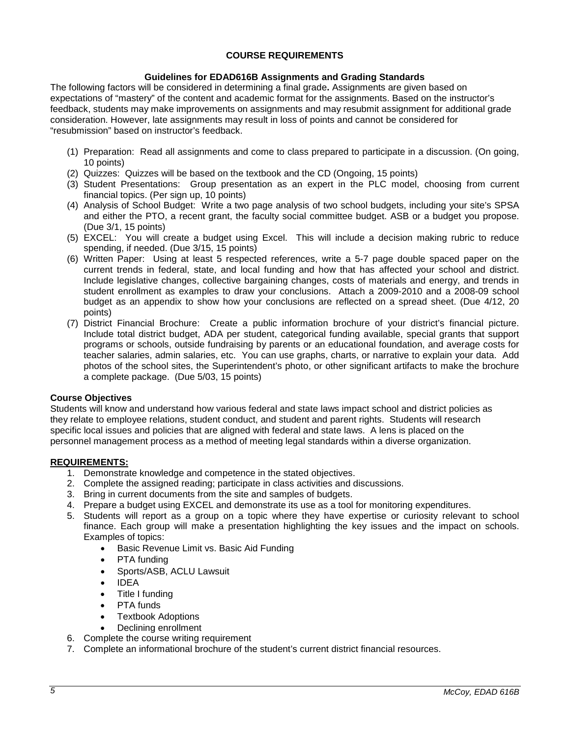# **COURSE REQUIREMENTS**

# **Guidelines for EDAD616B Assignments and Grading Standards**

The following factors will be considered in determining a final grade**.** Assignments are given based on expectations of "mastery" of the content and academic format for the assignments. Based on the instructor's feedback, students may make improvements on assignments and may resubmit assignment for additional grade consideration. However, late assignments may result in loss of points and cannot be considered for "resubmission" based on instructor's feedback.

- (1) Preparation: Read all assignments and come to class prepared to participate in a discussion. (On going, 10 points)
- (2) Quizzes: Quizzes will be based on the textbook and the CD (Ongoing, 15 points)
- (3) Student Presentations: Group presentation as an expert in the PLC model, choosing from current financial topics. (Per sign up, 10 points)
- (4) Analysis of School Budget: Write a two page analysis of two school budgets, including your site's SPSA and either the PTO, a recent grant, the faculty social committee budget. ASB or a budget you propose. (Due 3/1, 15 points)
- (5) EXCEL: You will create a budget using Excel. This will include a decision making rubric to reduce spending, if needed. (Due 3/15, 15 points)
- (6) Written Paper: Using at least 5 respected references, write a 5-7 page double spaced paper on the current trends in federal, state, and local funding and how that has affected your school and district. Include legislative changes, collective bargaining changes, costs of materials and energy, and trends in student enrollment as examples to draw your conclusions. Attach a 2009-2010 and a 2008-09 school budget as an appendix to show how your conclusions are reflected on a spread sheet. (Due 4/12, 20 points)
- (7) District Financial Brochure: Create a public information brochure of your district's financial picture. Include total district budget, ADA per student, categorical funding available, special grants that support programs or schools, outside fundraising by parents or an educational foundation, and average costs for teacher salaries, admin salaries, etc. You can use graphs, charts, or narrative to explain your data. Add photos of the school sites, the Superintendent's photo, or other significant artifacts to make the brochure a complete package. (Due 5/03, 15 points)

# **Course Objectives**

Students will know and understand how various federal and state laws impact school and district policies as they relate to employee relations, student conduct, and student and parent rights. Students will research specific local issues and policies that are aligned with federal and state laws. A lens is placed on the personnel management process as a method of meeting legal standards within a diverse organization.

# **REQUIREMENTS:**

- 1. Demonstrate knowledge and competence in the stated objectives.
- 2. Complete the assigned reading; participate in class activities and discussions.
- 3. Bring in current documents from the site and samples of budgets.
- 4. Prepare a budget using EXCEL and demonstrate its use as a tool for monitoring expenditures.
- 5. Students will report as a group on a topic where they have expertise or curiosity relevant to school finance. Each group will make a presentation highlighting the key issues and the impact on schools. Examples of topics:
	- Basic Revenue Limit vs. Basic Aid Funding
	- PTA funding
	- Sports/ASB, ACLU Lawsuit
	- IDEA
	- Title I funding
	- PTA funds
	- Textbook Adoptions
	- Declining enrollment
- 6. Complete the course writing requirement
- 7. Complete an informational brochure of the student's current district financial resources.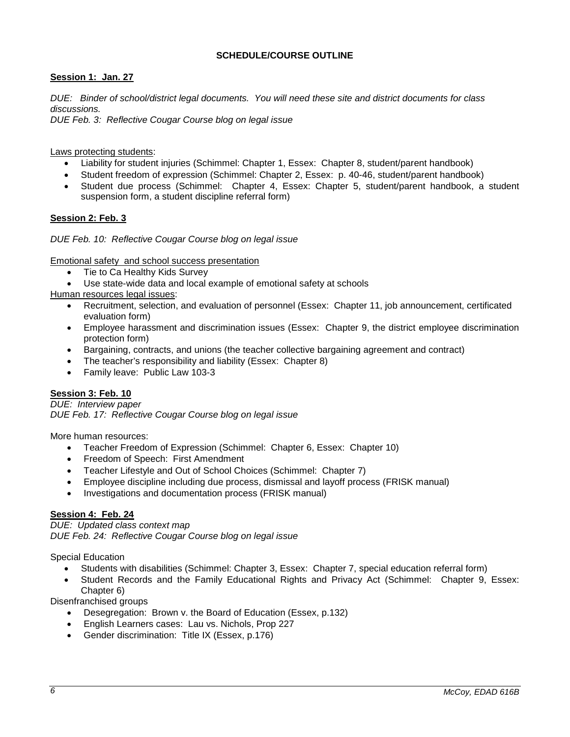# **SCHEDULE/COURSE OUTLINE**

# **Session 1: Jan. 27**

*DUE: Binder of school/district legal documents. You will need these site and district documents for class discussions.*

*DUE Feb. 3: Reflective Cougar Course blog on legal issue*

Laws protecting students:

- Liability for student injuries (Schimmel: Chapter 1, Essex: Chapter 8, student/parent handbook)
- Student freedom of expression (Schimmel: Chapter 2, Essex: p. 40-46, student/parent handbook)
- Student due process (Schimmel: Chapter 4, Essex: Chapter 5, student/parent handbook, a student suspension form, a student discipline referral form)

# **Session 2: Feb. 3**

*DUE Feb. 10: Reflective Cougar Course blog on legal issue*

Emotional safety and school success presentation

- Tie to Ca Healthy Kids Survey
- Use state-wide data and local example of emotional safety at schools

Human resources legal issues:

- Recruitment, selection, and evaluation of personnel (Essex: Chapter 11, job announcement, certificated evaluation form)
- Employee harassment and discrimination issues (Essex: Chapter 9, the district employee discrimination protection form)
- Bargaining, contracts, and unions (the teacher collective bargaining agreement and contract)
- The teacher's responsibility and liability (Essex: Chapter 8)
- Family leave: Public Law 103-3

# **Session 3: Feb. 10**

*DUE: Interview paper DUE Feb. 17: Reflective Cougar Course blog on legal issue*

More human resources:

- Teacher Freedom of Expression (Schimmel: Chapter 6, Essex: Chapter 10)
- Freedom of Speech: First Amendment
- Teacher Lifestyle and Out of School Choices (Schimmel: Chapter 7)
- Employee discipline including due process, dismissal and layoff process (FRISK manual)
- Investigations and documentation process (FRISK manual)

# **Session 4: Feb. 24**

*DUE: Updated class context map DUE Feb. 24: Reflective Cougar Course blog on legal issue*

Special Education

- Students with disabilities (Schimmel: Chapter 3, Essex: Chapter 7, special education referral form)
- Student Records and the Family Educational Rights and Privacy Act (Schimmel: Chapter 9, Essex: Chapter 6)

Disenfranchised groups

- Desegregation: Brown v. the Board of Education (Essex, p.132)
- English Learners cases: Lau vs. Nichols, Prop 227
- Gender discrimination: Title IX (Essex, p.176)